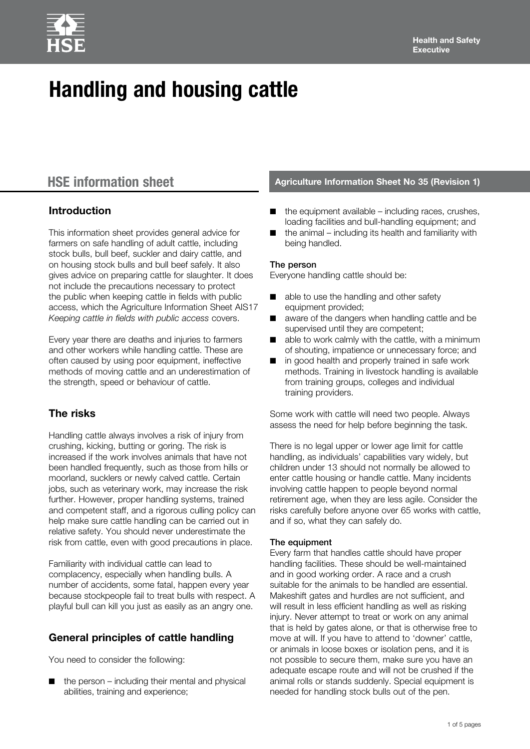# **Handling and housing cattle**

# **Introduction**

This information sheet provides general advice for farmers on safe handling of adult cattle, including stock bulls, bull beef, suckler and dairy cattle, and on housing stock bulls and bull beef safely. It also gives advice on preparing cattle for slaughter. It does not include the precautions necessary to protect the public when keeping cattle in fields with public access, which the Agriculture Information Sheet AIS17 *Keeping cattle in fields with public access* covers.

Every year there are deaths and injuries to farmers and other workers while handling cattle. These are often caused by using poor equipment, ineffective methods of moving cattle and an underestimation of the strength, speed or behaviour of cattle.

# **The risks**

Handling cattle always involves a risk of injury from crushing, kicking, butting or goring. The risk is increased if the work involves animals that have not been handled frequently, such as those from hills or moorland, sucklers or newly calved cattle. Certain jobs, such as veterinary work, may increase the risk further. However, proper handling systems, trained and competent staff, and a rigorous culling policy can help make sure cattle handling can be carried out in relative safety. You should never underestimate the risk from cattle, even with good precautions in place.

Familiarity with individual cattle can lead to complacency, especially when handling bulls. A number of accidents, some fatal, happen every year because stockpeople fail to treat bulls with respect. A playful bull can kill you just as easily as an angry one.

# **General principles of cattle handling**

You need to consider the following:

the person  $-$  including their mental and physical abilities, training and experience;

# **HSE information sheet Agriculture Information Sheet No 35 (Revision 1)**

- the equipment available  $-$  including races, crushes, loading facilities and bull-handling equipment; and
- the animal including its health and familiarity with being handled.

#### The person

Everyone handling cattle should be:

- able to use the handling and other safety equipment provided;
- aware of the dangers when handling cattle and be supervised until they are competent;
- able to work calmly with the cattle, with a minimum of shouting, impatience or unnecessary force; and
- n in good health and properly trained in safe work methods. Training in livestock handling is available from training groups, colleges and individual training providers.

Some work with cattle will need two people. Always assess the need for help before beginning the task.

There is no legal upper or lower age limit for cattle handling, as individuals' capabilities vary widely, but children under 13 should not normally be allowed to enter cattle housing or handle cattle. Many incidents involving cattle happen to people beyond normal retirement age, when they are less agile. Consider the risks carefully before anyone over 65 works with cattle, and if so, what they can safely do.

#### The equipment

Every farm that handles cattle should have proper handling facilities. These should be well-maintained and in good working order. A race and a crush suitable for the animals to be handled are essential. Makeshift gates and hurdles are not sufficient, and will result in less efficient handling as well as risking injury. Never attempt to treat or work on any animal that is held by gates alone, or that is otherwise free to move at will. If you have to attend to 'downer' cattle, or animals in loose boxes or isolation pens, and it is not possible to secure them, make sure you have an adequate escape route and will not be crushed if the animal rolls or stands suddenly. Special equipment is needed for handling stock bulls out of the pen.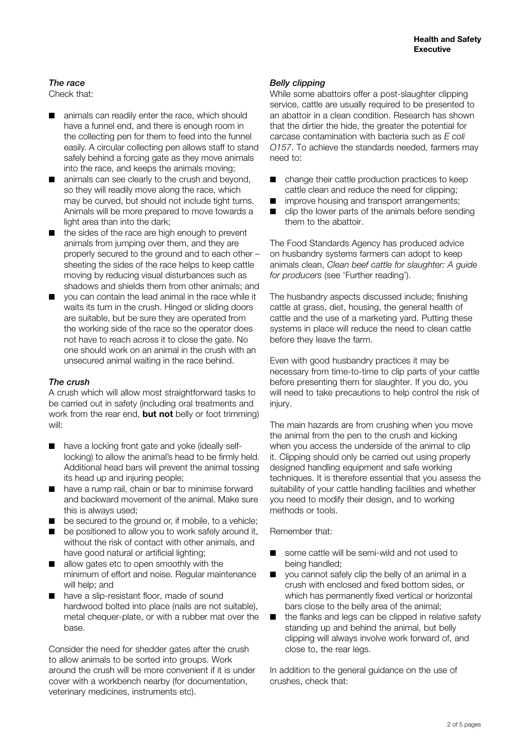#### *The race*

Check that:

- animals can readily enter the race, which should have a funnel end, and there is enough room in the collecting pen for them to feed into the funnel easily. A circular collecting pen allows staff to stand safely behind a forcing gate as they move animals into the race, and keeps the animals moving;
- animals can see clearly to the crush and beyond, so they will readily move along the race, which may be curved, but should not include tight turns. Animals will be more prepared to move towards a light area than into the dark;
- the sides of the race are high enough to prevent animals from jumping over them, and they are properly secured to the ground and to each other – sheeting the sides of the race helps to keep cattle moving by reducing visual disturbances such as shadows and shields them from other animals; and
- you can contain the lead animal in the race while it waits its turn in the crush. Hinged or sliding doors are suitable, but be sure they are operated from the working side of the race so the operator does not have to reach across it to close the gate. No one should work on an animal in the crush with an unsecured animal waiting in the race behind.

#### *The crush*

A crush which will allow most straightforward tasks to be carried out in safety (including oral treatments and work from the rear end, **but not** belly or foot trimming) will:

- have a locking front gate and yoke (ideally selflocking) to allow the animal's head to be firmly held. Additional head bars will prevent the animal tossing its head up and injuring people;
- have a rump rail, chain or bar to minimise forward and backward movement of the animal. Make sure this is always used;
- be secured to the ground or, if mobile, to a vehicle;
- be positioned to allow you to work safely around it, without the risk of contact with other animals, and have good natural or artificial lighting;
- allow gates etc to open smoothly with the minimum of effort and noise. Regular maintenance will help; and
- have a slip-resistant floor, made of sound hardwood bolted into place (nails are not suitable), metal chequer-plate, or with a rubber mat over the base.

Consider the need for shedder gates after the crush to allow animals to be sorted into groups. Work around the crush will be more convenient if it is under cover with a workbench nearby (for documentation, veterinary medicines, instruments etc).

#### *Belly clipping*

While some abattoirs offer a post-slaughter clipping service, cattle are usually required to be presented to an abattoir in a clean condition. Research has shown that the dirtier the hide, the greater the potential for carcase contamination with bacteria such as *E coli O157*. To achieve the standards needed, farmers may need to:

- change their cattle production practices to keep cattle clean and reduce the need for clipping;
- improve housing and transport arrangements;
- $\Box$  clip the lower parts of the animals before sending them to the abattoir.

The Food Standards Agency has produced advice on husbandry systems farmers can adopt to keep animals clean, *Clean beef cattle for slaughter: A guide for producers* (see 'Further reading').

The husbandry aspects discussed include; finishing cattle at grass, diet, housing, the general health of cattle and the use of a marketing yard. Putting these systems in place will reduce the need to clean cattle before they leave the farm.

Even with good husbandry practices it may be necessary from time-to-time to clip parts of your cattle before presenting them for slaughter. If you do, you will need to take precautions to help control the risk of injury.

The main hazards are from crushing when you move the animal from the pen to the crush and kicking when you access the underside of the animal to clip it. Clipping should only be carried out using properly designed handling equipment and safe working techniques. It is therefore essential that you assess the suitability of your cattle handling facilities and whether you need to modify their design, and to working methods or tools.

Remember that:

- some cattle will be semi-wild and not used to being handled;
- you cannot safely clip the belly of an animal in a crush with enclosed and fixed bottom sides, or which has permanently fixed vertical or horizontal bars close to the belly area of the animal;
- $\blacksquare$  the flanks and legs can be clipped in relative safety standing up and behind the animal, but belly clipping will always involve work forward of, and close to, the rear legs.

In addition to the general guidance on the use of crushes, check that: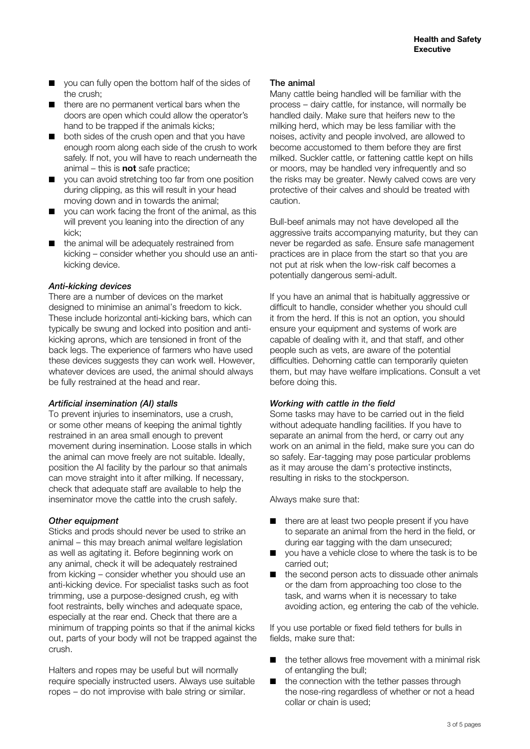- you can fully open the bottom half of the sides of the crush;
- there are no permanent vertical bars when the doors are open which could allow the operator's hand to be trapped if the animals kicks;
- both sides of the crush open and that you have enough room along each side of the crush to work safely. If not, you will have to reach underneath the animal – this is **not** safe practice;
- you can avoid stretching too far from one position during clipping, as this will result in your head moving down and in towards the animal;
- you can work facing the front of the animal, as this will prevent you leaning into the direction of any kick;
- the animal will be adequately restrained from kicking – consider whether you should use an antikicking device.

#### *Anti-kicking devices*

There are a number of devices on the market designed to minimise an animal's freedom to kick. These include horizontal anti-kicking bars, which can typically be swung and locked into position and antikicking aprons, which are tensioned in front of the back legs. The experience of farmers who have used these devices suggests they can work well. However, whatever devices are used, the animal should always be fully restrained at the head and rear.

#### *Artificial insemination (AI) stalls*

To prevent injuries to inseminators, use a crush, or some other means of keeping the animal tightly restrained in an area small enough to prevent movement during insemination. Loose stalls in which the animal can move freely are not suitable. Ideally, position the AI facility by the parlour so that animals can move straight into it after milking. If necessary, check that adequate staff are available to help the inseminator move the cattle into the crush safely.

#### *Other equipment*

Sticks and prods should never be used to strike an animal – this may breach animal welfare legislation as well as agitating it. Before beginning work on any animal, check it will be adequately restrained from kicking – consider whether you should use an anti-kicking device. For specialist tasks such as foot trimming, use a purpose-designed crush, eg with foot restraints, belly winches and adequate space, especially at the rear end. Check that there are a minimum of trapping points so that if the animal kicks out, parts of your body will not be trapped against the crush.

Halters and ropes may be useful but will normally require specially instructed users. Always use suitable ropes – do not improvise with bale string or similar.

#### The animal

Many cattle being handled will be familiar with the process – dairy cattle, for instance, will normally be handled daily. Make sure that heifers new to the milking herd, which may be less familiar with the noises, activity and people involved, are allowed to become accustomed to them before they are first milked. Suckler cattle, or fattening cattle kept on hills or moors, may be handled very infrequently and so the risks may be greater. Newly calved cows are very protective of their calves and should be treated with caution.

Bull-beef animals may not have developed all the aggressive traits accompanying maturity, but they can never be regarded as safe. Ensure safe management practices are in place from the start so that you are not put at risk when the low-risk calf becomes a potentially dangerous semi-adult.

If you have an animal that is habitually aggressive or difficult to handle, consider whether you should cull it from the herd. If this is not an option, you should ensure your equipment and systems of work are capable of dealing with it, and that staff, and other people such as vets, are aware of the potential difficulties. Dehorning cattle can temporarily quieten them, but may have welfare implications. Consult a vet before doing this.

#### *Working with cattle in the field*

Some tasks may have to be carried out in the field without adequate handling facilities. If you have to separate an animal from the herd, or carry out any work on an animal in the field, make sure you can do so safely. Ear-tagging may pose particular problems as it may arouse the dam's protective instincts, resulting in risks to the stockperson.

Always make sure that:

- there are at least two people present if you have to separate an animal from the herd in the field, or during ear tagging with the dam unsecured;
- you have a vehicle close to where the task is to be carried out;
- the second person acts to dissuade other animals or the dam from approaching too close to the task, and warns when it is necessary to take avoiding action, eg entering the cab of the vehicle.

If you use portable or fixed field tethers for bulls in fields, make sure that:

- the tether allows free movement with a minimal risk of entangling the bull;
- the connection with the tether passes through the nose-ring regardless of whether or not a head collar or chain is used;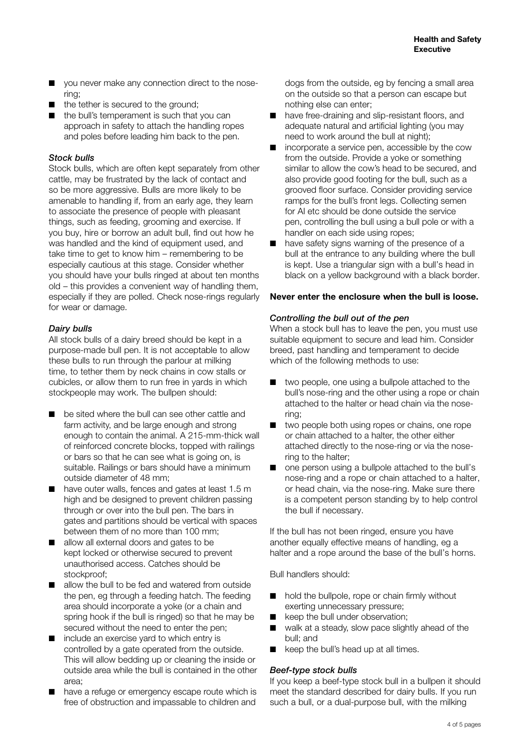- you never make any connection direct to the nosering;
- the tether is secured to the ground:
- the bull's temperament is such that you can approach in safety to attach the handling ropes and poles before leading him back to the pen.

#### *Stock bulls*

Stock bulls, which are often kept separately from other cattle, may be frustrated by the lack of contact and so be more aggressive. Bulls are more likely to be amenable to handling if, from an early age, they learn to associate the presence of people with pleasant things, such as feeding, grooming and exercise. If you buy, hire or borrow an adult bull, find out how he was handled and the kind of equipment used, and take time to get to know him – remembering to be especially cautious at this stage. Consider whether you should have your bulls ringed at about ten months old – this provides a convenient way of handling them, especially if they are polled. Check nose-rings regularly for wear or damage.

#### *Dairy bulls*

All stock bulls of a dairy breed should be kept in a purpose-made bull pen. It is not acceptable to allow these bulls to run through the parlour at milking time, to tether them by neck chains in cow stalls or cubicles, or allow them to run free in yards in which stockpeople may work. The bullpen should:

- be sited where the bull can see other cattle and farm activity, and be large enough and strong enough to contain the animal. A 215-mm-thick wall of reinforced concrete blocks, topped with railings or bars so that he can see what is going on, is suitable. Railings or bars should have a minimum outside diameter of 48 mm;
- have outer walls, fences and gates at least 1.5 m high and be designed to prevent children passing through or over into the bull pen. The bars in gates and partitions should be vertical with spaces between them of no more than 100 mm;
- allow all external doors and gates to be kept locked or otherwise secured to prevent unauthorised access. Catches should be stockproof:
- allow the bull to be fed and watered from outside the pen, eg through a feeding hatch. The feeding area should incorporate a yoke (or a chain and spring hook if the bull is ringed) so that he may be secured without the need to enter the pen;
- include an exercise yard to which entry is controlled by a gate operated from the outside. This will allow bedding up or cleaning the inside or outside area while the bull is contained in the other area;
- have a refuge or emergency escape route which is free of obstruction and impassable to children and

dogs from the outside, eg by fencing a small area on the outside so that a person can escape but nothing else can enter;

- have free-draining and slip-resistant floors, and adequate natural and artificial lighting (you may need to work around the bull at night);
- incorporate a service pen, accessible by the cow from the outside. Provide a yoke or something similar to allow the cow's head to be secured, and also provide good footing for the bull, such as a grooved floor surface. Consider providing service ramps for the bull's front legs. Collecting semen for AI etc should be done outside the service pen, controlling the bull using a bull pole or with a handler on each side using ropes;
- have safety signs warning of the presence of a bull at the entrance to any building where the bull is kept. Use a triangular sign with a bull's head in black on a yellow background with a black border.

#### **Never enter the enclosure when the bull is loose.**

#### *Controlling the bull out of the pen*

When a stock bull has to leave the pen, you must use suitable equipment to secure and lead him. Consider breed, past handling and temperament to decide which of the following methods to use:

- two people, one using a bullpole attached to the bull's nose-ring and the other using a rope or chain attached to the halter or head chain via the nosering;
- two people both using ropes or chains, one rope or chain attached to a halter, the other either attached directly to the nose-ring or via the nosering to the halter;
- one person using a bullpole attached to the bull's nose-ring and a rope or chain attached to a halter, or head chain, via the nose-ring. Make sure there is a competent person standing by to help control the bull if necessary.

If the bull has not been ringed, ensure you have another equally effective means of handling, eg a halter and a rope around the base of the bull's horns.

Bull handlers should:

- hold the bullpole, rope or chain firmly without exerting unnecessary pressure;
- keep the bull under observation;
- walk at a steady, slow pace slightly ahead of the bull; and
- keep the bull's head up at all times.

#### *Beef-type stock bulls*

If you keep a beef-type stock bull in a bullpen it should meet the standard described for dairy bulls. If you run such a bull, or a dual-purpose bull, with the milking